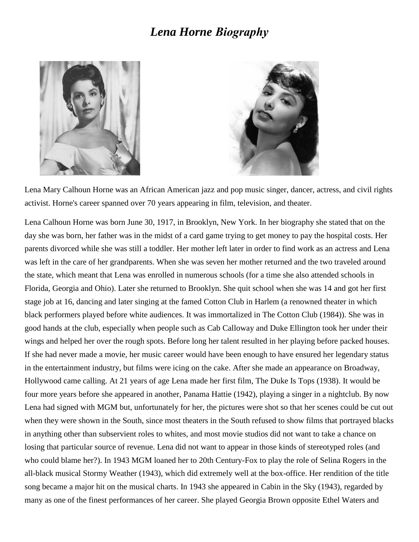## *[Lena Horne](http://www.imdb.com/name/nm0395043/?ref_=nmbio_bio_nm) Biography*





Lena Mary Calhoun Horne was an African American jazz and pop music singer, dancer, actress, and civil rights activist. Horne's career spanned over 70 years appearing in film, television, and theater.

Lena Calhoun Horne was born June 30, 1917, in Brooklyn, New York. In her biography she stated that on the day she was born, her father was in the midst of a card game trying to get money to pay the hospital costs. Her parents divorced while she was still a toddler. Her mother left later in order to find work as an actress and Lena was left in the care of her grandparents. When she was seven her mother returned and the two traveled around the state, which meant that Lena was enrolled in numerous schools (for a time she also attended schools in Florida, Georgia and Ohio). Later she returned to Brooklyn. She quit school when she was 14 and got her first stage job at 16, dancing and later singing at the famed Cotton Club in Harlem (a renowned theater in which black performers played before white audiences. It was immortalized in [The Cotton Club](http://www.imdb.com/title/tt0087089?ref_=nmbio_mbio) (1984)). She was in good hands at the club, especially when people such as [Cab Calloway](http://www.imdb.com/name/nm0130572?ref_=nmbio_mbio) and [Duke Ellington](http://www.imdb.com/name/nm0254153?ref_=nmbio_mbio) took her under their wings and helped her over the rough spots. Before long her talent resulted in her playing before packed houses. If she had never made a movie, her music career would have been enough to have ensured her legendary status in the entertainment industry, but films were icing on the cake. After she made an appearance on Broadway, Hollywood came calling. At 21 years of age Lena made her first film, [The Duke Is Tops](http://www.imdb.com/title/tt0030089?ref_=nmbio_mbio) (1938). It would be four more years before she appeared in another, [Panama Hattie](http://www.imdb.com/title/tt0035170?ref_=nmbio_mbio) (1942), playing a singer in a nightclub. By now Lena had signed with MGM but, unfortunately for her, the pictures were shot so that her scenes could be cut out when they were shown in the South, since most theaters in the South refused to show films that portrayed blacks in anything other than subservient roles to whites, and most movie studios did not want to take a chance on losing that particular source of revenue. Lena did not want to appear in those kinds of stereotyped roles (and who could blame her?). In 1943 MGM loaned her to 20th Century-Fox to play the role of Selina Rogers in the all-black musical [Stormy Weather](http://www.imdb.com/title/tt0036391?ref_=nmbio_mbio) (1943), which did extremely well at the box-office. Her rendition of the title song became a major hit on the musical charts. In 1943 she appeared in [Cabin in the Sky](http://www.imdb.com/title/tt0035703?ref_=nmbio_mbio) (1943), regarded by many as one of the finest performances of her career. She played Georgia Brown opposite [Ethel Waters](http://www.imdb.com/name/nm0914083?ref_=nmbio_mbio) and